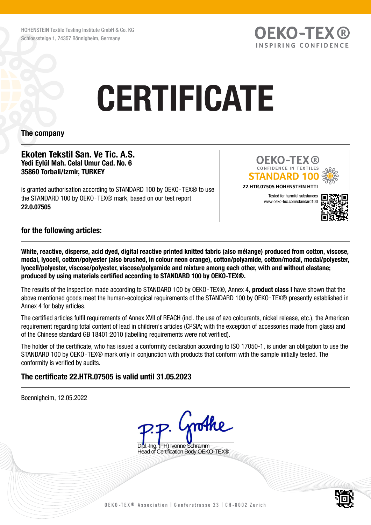HOHENSTEIN Textile Testing Institute GmbH & Co. KG Schlosssteige 1, 74357 Bönnigheim, Germany

# **CERTIFICATE**

## The company

### Ekoten Tekstil San. Ve Tic. A.S. Yedi Eylül Mah. Celal Umur Cad. No. 6 35860 Torbali/Izmir, TURKEY

is granted authorisation according to STANDARD 100 by OEKO-TEX® to use the STANDARD 100 by OEKO-TEX® mark, based on our test report 22.0.07505



**OEKO-TEX®** INSPIRING CONFIDENCE

## for the following articles:

White, reactive, disperse, acid dyed, digital reactive printed knitted fabric (also mélange) produced from cotton, viscose, modal, lyocell, cotton/polyester (also brushed, in colour neon orange), cotton/polyamide, cotton/modal, modal/polyester, lyocell/polyester, viscose/polyester, viscose/polyamide and mixture among each other, with and without elastane; produced by using materials certified according to STANDARD 100 by OEKO-TEX®.

The results of the inspection made according to STANDARD 100 by OEKO-TEX®, Annex 4, **product class I** have shown that the above mentioned goods meet the human-ecological requirements of the STANDARD 100 by OEKO-TEX® presently established in Annex 4 for baby articles.

The certified articles fulfil requirements of Annex XVII of REACH (incl. the use of azo colourants, nickel release, etc.), the American requirement regarding total content of lead in children's articles (CPSIA; with the exception of accessories made from glass) and of the Chinese standard GB 18401:2010 (labelling requirements were not verified).

The holder of the certificate, who has issued a conformity declaration according to ISO 17050-1, is under an obligation to use the STANDARD 100 by OEKO‑TEX® mark only in conjunction with products that conform with the sample initially tested. The conformity is verified by audits.

# The certificate 22.HTR.07505 is valid until 31.05.2023

Boennigheim, 12.05.2022 nothe **TEH) Ivonne Schramm** Head of Certification Body OEKO-TEX®